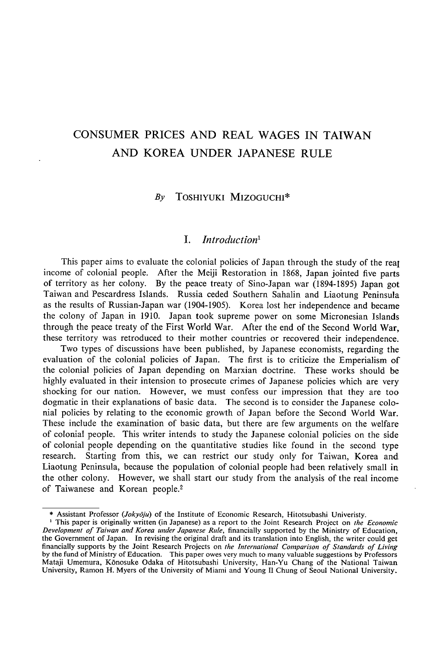# CONSUMER PRICES AND REAL WAGES IN TAIWAN AND KOREA UNDER JAPANESE RULE

#### By TOSHIYUKI MIZOGUCHI\*

## I. Introduction<sup>1</sup>

This paper aims to evaluate the colonial policies of Japan through the study of the real income of colonial people. After the Meiji Restoration in 1868, Japan jointed five parts of territory as her colony. By the peace treaty of Sino-Japan war (1894-1895) Japan got Taiwan and Pescardress Islands. Russia ceded Southern Sahalin and Liaotung Peninsula as the results of Russian-Japan war (1904-1905). Korea lost her independence and became the colony of Japan in 1910. Japan took supreme power on some Micronesian Islands through the peace treaty of the First World War. After the end of the Second World War. these territory was retroduced to their mother countries or recovered their independence.

Two types of discussions have been published, by Japanese economists, regarding the evaluation of the colonial policies of Japan. The first is to criticize the Emperialism of the colonial policies of Japan depending on Marxian doctrine. These works should be highly evaluated in their intension to prosecute crimes of Japanese policies which are very shocking for our nation. However, we must confess our impression that they are too dogmatic in their explanations of basic data. The second is to consider the Japanese colonial policies by relating to the economic growth of Japan before the Second World War. These include the examination of basic data, but there are few arguments on the welfare of colonial people. This writer intends to study the Japanese colonial policies on the side of colonial people depending on the quantitative studies like found in the second type research. Starting from this, we can restrict our study only for Taiwan, Korea and Liaotung Peninsula, because the population of colonial people had been relatively small in the other colony. However, we shall start our study from the analysis of the real income of Taiwanese and Korean people.2

<sup>\*</sup> Assistant Professor (Jokyōju) of the Institute of Economic Research, Hitotsubashi Univeristy.

<sup>&</sup>lt;sup>1</sup> This paper is originally written (in Japanese) as a report to the Joint Research Project on the Economic Development of Taiwan and Korea under Japanese Rule, financially supported by the Ministry of Education, the Government of Japan. In revising the original draft and its translation into English, the writer could get financially supports by the Joint Research Projects on the International Comparison of Standards of Living by the fund of Ministry of Education. This paper owes very much to many valuable suggestions by Professors Mataji Umemura, Kōnosuke Odaka of Hitotsubashi University, Han-Yu Chang of the National Taiwan University, Ramon H. Myers of the Universlty of Miami and Young ll Chung of Seoul National University.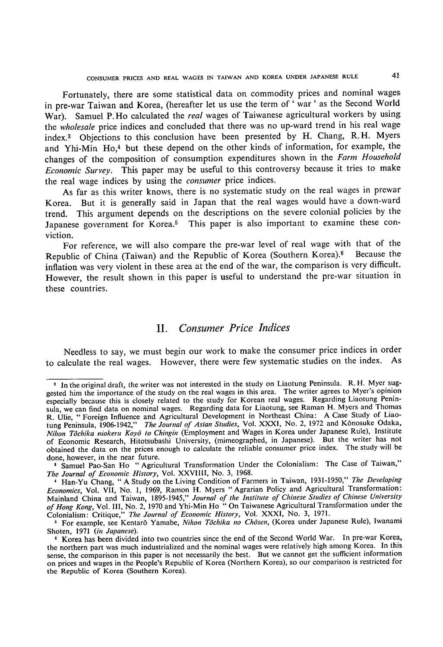Fortunately, there are some statistical data on commodity prices and nominal wages in pre-war Taiwan and Korea, (hereafter let us use the term of ' war ' as the Second World War). Samuel P. Ho calculated the *real* wages of Taiwanese agricultural workers by using the wholesale price indices and concluded that there was no up-ward trend in his real wage index.3 Objections to this conclusion have been presented by H. Chang, R.H. Myers and Yhi-Min H0,4 but these depend on the other kinds of information, for example, the changes of the composition of consumption expenditures shown in the Farm Household Economic Survey. This paper may be useful to this controversy because it tries to make the real wage indices by using the consumer price indices.

As far as this writer knows, there is no systematic study on the real wages in prewar Korea. But it is generally said in Japan that the real wages would have a down-ward trend. This argument depends on the descriptions on the severe colonial policies by the Japanese government for Korea.<sup>5</sup> This paper is also important to examine these conviction.

For reference, we will also compare the pre-war level of real wage with that of the Republic of China (Taiwan) and the Republic of Korea (Southern Korea).6 Because the inflation was very violent in these area at the end of the war, the comparison is very difficult\_ However, the result shown in this paper is useful to understand the pre-war situation in these countries.

## II. Consumer Price Indices

Needless to say, we must begin our work to make the consumer price indices in order to calculate the real wages. However, there were few systematic studies on the index. As

<sup>&</sup>lt;sup>2</sup> In the original draft, the writer was not interested in the study on Liaotung Peninsula. R. H. Myer suggested him the importance of the study on the real wages in this area. The writer agrees to Myer's opinion especially because this is closely related to the study for Korean real wages. Regarding Liaotung Peninsula, we can find data on nominal wages. Regarding data for Liaotung, see Raman H. Myers and Thomas R. Ulie, " Foreign Infiuence and Agricuitural Development in Northeast China: A Case Study of Liaotung Peninsula, 1906-1942," The Journal of Asian Studies, Vol. XXXI, No. 2, 1972 and Kōnosuke Odaka, Nihon Tōchika niokeru Koyō to Chingin (Employment and Wages in Korea under Japanese Rule), Institute of Economic Research, Hitotsubashi University, (mimeographed, in Japanese). But the writer has not obtained the data on the prices enough to calculate the reliable consumer price index. The study will be done, however, in the near future.<br> **Agriculture** Transformation Under the Colonialism: The Case of Taiwan,"

The Journal of Economic History, Vol. XXVIIII, No. 3, 1968.

<sup>&</sup>lt;sup>4</sup> Han-Yu Chang, " A Study on the Living Condition of Farmers in Taiwan, 1931-1950," The Developing Economics, Vol. VII, No, l, 1969, Ramon H. Myers "Agrarian Policy and Agricultural Transformation: Mainland China and Taiwan, 1 895-1945," Journal of the Institute of Chinese Studies of Chinese University of Hong Kong, Vol. 111, No. 2, 1970 and Yhi-Min Ho " On Taiwanese Agricultural Transformation under the Colonialism: Critique," The Journal of Economic History, Vol. XXXI, No. 3, 1971.

<sup>&</sup>lt;sup>5</sup> For example, see Kentarō Yamabe, Nihon Tōchika no Chōsen, (Korea under Japanese Rule), Iwanami Shoten, 1971 (in Japanese).

<sup>&#</sup>x27; Korea has been divided into two countries since the end of the Second World War. In pre-war Korea, the northern part was much industrialized and the nominal wages were relatively high among Korea. In this sense, the comparison in this paper is not necessarily the best. But we cannot get the sufficient information on prices and wages in the People's Republic of Korea (Northern Korea), so our comparison is restricted for the Republic of Korea (Southern Korea).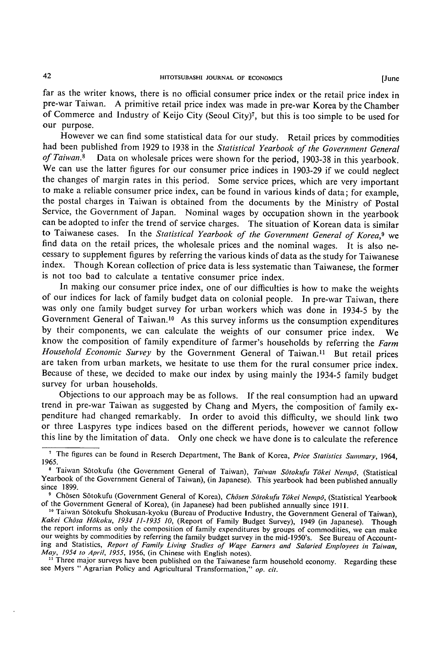far as the writer knows, there is no official consumer price index or the retail price index in pre-war Taiwan. A primitive retail price index was made in pre-war Korea by the Chamber of Commerce and Industry of Keijo City (Seoul City)7, but this is too simple to be used for our purpose.

However we can find some statistical data for our study. Retail prices by commodities had been published from 1929 to 1938 in the Statistical Yearbook of the Government General of Taiwan.<sup>8</sup> Data on wholesale prices were shown for the period, 1903-38 in this yearbook. We can use the latter figures for our consumer price indices in 1903-29 if we could neglect the changes of margin rates in this period. Some service prices, which are very important to make a reliable consumer price index, can be found in various kinds of data; for example, the postal charges in Taiwan is obtained from the documents by the Ministry of Postal Service, the Government of Japan. Nominal wages by occupation shown in the yearbook can be adopted to infer the trend of service charges. The situation of Korean data is similar to Taiwanese cases. In the Statistical Yearbook of the Government General of Korea,<sup>9</sup> we find data on the retail prices, the wholesale prices and the nominal wages. It is also necessary to supplement figures by referring the various kinds of data as the study for Taiwanese index. Though Korean collection of price data is less systematic than Taiwanese, the former is not too bad to calculate a tentative consumer price index.

In making our consumer price index, one of our difficulties is how to make the weights of our indices for lack of family budget data on colonial people. In pre-war Taiwan, there was only one famiiy budget survey for urban workers which was done in 1934-5 by the Government General of Taiwan.10 As this survey informs us the consumption expenditures by their components, we can calculate the weights of our consumer price index. We know the composition of family expenditure of farmer's households by referring the Farm Household Economic Survey by the Government General of Taiwan.<sup>11</sup> But retail prices are taken from urban markets, we hesitate to use them for the rural consumer price index. Because of these, we decided to make our index by using mainly the 1934-5 family budget survey for urban households.

Objections to our approach may be as follows. If the real consumption had an upward trend in pre-war Taiwan as suggested by Chang and Myers, the composition of family expenditure had changed remarkably. In order to avoid this difficulty, we should link two or three Laspyres type indices based on the different periods, however we cannot follow this line by the limitation of data. Only one check we have done is to calculate the reference

<sup>11</sup> Three major surveys have been published on the Taiwanese farm household economy. Regarding these see Myers " Agrarian Policy and Agricultural Transformation," op. cit.

<sup>&</sup>lt;sup>1</sup> The figures can be found in Reserch Department, The Bank of Korea, Price Statistics Summary, 1964, 1965.

<sup>&</sup>lt;sup>8</sup> Taiwan Sōtokufu (the Government General of Taiwan), Taiwan Sōtokufu Tōkei Nempō, (Statistical Yearbook of the Government General of Taiwan), (in Japanese). This yearbook had been published annually since 1899.

<sup>&</sup>lt;sup>9</sup> Chôsen Sôtokufu (Government General of Korea), Chôsen Sôtokufu Tôkei Nempô, (Statistical Yearbook of the Government General of Korea), (in Japanese) had been published annually since 1911.

<sup>&</sup>lt;sup>16</sup> Taiwan Sōtokufu Shokusan-kyoku (Bureau of Productive Industry, the Government General of Taiwan), Kakei Chôsa Hōkoku, 1934 11-1935 10, (Report of Family Budget Survey), 1949 (in Japanese). Though the report informs as only the composition of family expenditures by groups of commodities, we can make our weights by commodities by referring the family budget survey in the mid-1950's. See Bureau of Accounting and Statistics, Report of Family Living Studies of Wage Earners and Salaried Employees in Taiwan, May, 1954 to April, 1955, 1956, (in Chinese with English notes).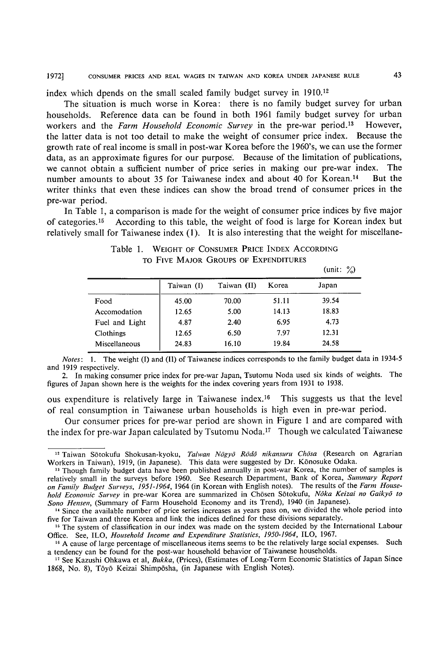index which dpends on the small scaled family budget survey in 1910.12

The situation is much worse in Korea: there is no family budget survey for urban households. Reference data can be found in both 1961 family budget survey for urban workers and the Farm Household Economic Survey in the pre-war period.<sup>13</sup> However, the latter data is not too detail to make the weight of consurner price index. Because the growth rate of real income is small in post-war Korea before the 1960's, we can use the former data, as an approximate figures for our purpose. Because of the limitation of publications, we cannot obtain a sufficient number of price series in making our pre-war index. The number amounts to about 35 for Taiwanese index and about 40 for Korean.<sup>14</sup> But the writer thinks that even these indices can show the broad trend of consumer prices in the pre-war period.

In Table 1, a comparison is made for the weight of consumer price indices by five major of categories.15 According to this table, the weight of food is large for Korean index but relatively small for Taiwanese index (1). It is also interesting that the weight for miscellane-

|                |            |             |       | $\text{unit: } \mathcal{A}$ |
|----------------|------------|-------------|-------|-----------------------------|
|                | Taiwan (I) | Taiwan (II) | Korea | Japan                       |
| Food           | 45.00      | 70.00       | 51.11 | 39.54                       |
| Accomodation   | 12.65      | 5.00        | 14.13 | 18.83                       |
| Fuel and Light | 4.87       | 2.40        | 6.95  | 4.73                        |
| Clothings      | 12.65      | 6.50        | 7.97  | 12.31                       |
| Miscellaneous  | 24.83      | 16.10       | 19.84 | 24.58                       |

Table 1. WEIGHT OF CONSUMER PRICE INDEX ACCORDING To FIVE MAJOR GROUPS OF EXPENDITURES  $\mathcal{L}$  :  $\mathcal{L}$ 

Notes: 1. The weight (I) and (II) of Taiwanese indices corresponds to the family budget data in 1934-5 and 1919 respectively.

2. In making consumer price index for pre-war Japan, Tsutomu Noda used six kinds of weights. The figures of Japan shown here is the weights for the index covering years from 1931 to 1938,

ous expenditure is relatively large in Taiwanese index.<sup>16</sup> This suggests us that the level of real consumption in Taiwanese urban households is high even in pre-war period.

Our consumer prices for pre-war period are shown in Figure 1 and are compared with the index for pre-war Japan calculated by Tsutomu Noda.17 Though we calculated Taiwanese

 $\frac{12}{12}$  Taiwan Sōtokufu Shokusan-kyoku, Taiwan Nōgyō, Rōdō nikansuru Chōsa (Research on Agrarian Workers in Taiwan), 1919, (in Japanese). This data were suggested by Dr. Könosuke Odaka.

<sup>&</sup>lt;sup>13</sup> Though family budget data have been published annually in post-war Korea, the number of samples is relatively small in the surveys before 1960. See Research Department, Bank of Korea, Summary Report on Family Budget Surveys, 1951-1964, 1964 (in Korean with English notes). The results of the Farm Household Economic Survey in pre-war Korea are summarized in Chōsen Sōtokufu, Noka Keizai no Gaikyo to Sono Hensen, (Summary of Farm Household Economy and its Trend), 1940 (in Japanese).

<sup>&</sup>lt;sup>14</sup> Since the available number of price series increases as years pass on, we divided the whole period into five for Taiwan and three Korea and link the indices defined for these divisions separately.

<sup>&</sup>lt;sup>16</sup> The system of classification in our index was made on the system decided by the International Labour Office. See, ILO, Household Income and Expenditure Statistics, 1950-1964, ILO, 1967.

<sup>&</sup>lt;sup>16</sup> A cause of large percentage of miscellaneous items seems to be the relatively large social expenses. Such a tendency can be found for the post-war household behavior of Taiwanese households.

<sup>&</sup>lt;sup>17</sup> See Kazushi Ohkawa et al, Bukka, (Prices), (Estimates of Long-Term Economic Statistics of Japan Since 1868, No. 8), Tōyō Keizai Shimpōsha, (in Japanese with English Notes).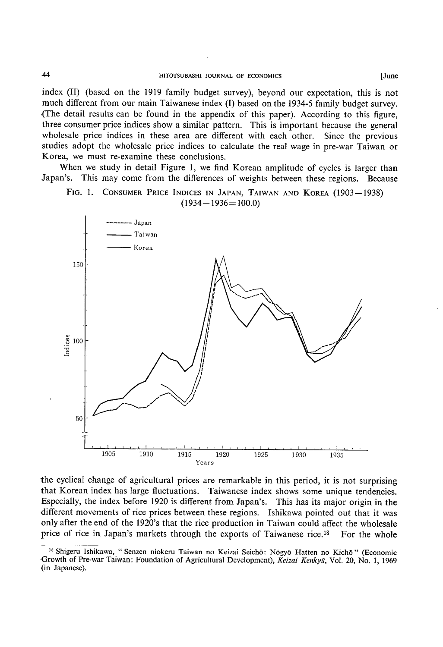index (II) (based on the 1919 family budget survey), beyond our expectation, this is not much different from our main Taiwanese index (I) based on the 1934-5 family budget survey. (The detail results can be found in the appendix of this paper). According to this figure, three consumer price indices show a similar pattern. This is important because the general wholesale price indices in these area are different with each other. Since the previous studies adopt the wholesale price indices to calculate the real wage in pre-war Taiwan or Korea, we must re-examine these conclusions.

When we study in detail Figure l, we find Korean amplitude of cycles is larger than Japan's. This may come from the differences of weights between these regions. Because





the cyclical change of agricultural prices are remarkable in this period, it is not surprising that Korean index has large fiuctuations. Taiwanese index shows some unique tendencies. Especially, the index before 1920 is different from Japan's. This has its major origin in the different movements of rice prices between these regions. Ishikawa pointed out that it was only after the end of the 1920's that the rice production in Taiwan could affect the wholesale price of rice in Japan's markets through the exports of Taiwanese rice.<sup>18</sup> For the whole

<sup>&</sup>lt;sup>18</sup> Shigeru Ishikawa, " Senzen niokeru Taiwan no Keizai Seichō: Nōgyō Hatten no Kichō " (Economic Growth of Pre-war Taiwan: Foundation of Agricultural Development), Keizai Kenkyū, Vol. 20, No. 1, 1969 (in Japanese).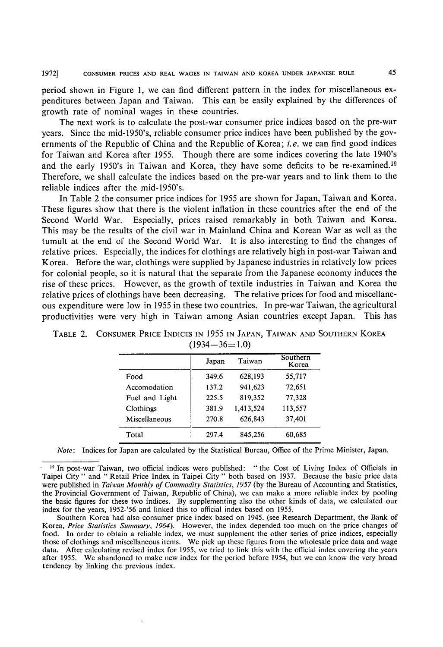period shown in Figure l, we can find different pattern in the index for miscellaneous expenditures between Japan and Taiwan. This can be easily explained by the differences of growth rate of nominal wages in these countries.

The next work is to calculate the post-war consumer price indices based on the pre-war years. Since the mid-1950's, reliable consumer price indices have been published by the gov ernments of the Republic of China and the Republic of Korea; *i.e.* we can find good indices for Taiwan and Korea after 1955. Though there are some indices covering the late 1940's and the early 1950's in Taiwan and Korea, they have some deficits to be re-examined.19 Therefore, we shall calculate the indices based on the pre-war years and to link them to the reliable indices after the mid-1950's.

In Table 2 the consumer price indices for 1955 are shown for Japan, Taiwan and Korea. These figures show that there is the violent infiation in these countries after the end of the Second World War. Especially, prices raised remarkably in both Taiwan and Korea. This may be the results of the civil war in Mainland China and Korean War as well as the tumult at the end of the Second World War. It is also interesting to find the changes of relative prices. Especially, the indices for clothings are relatively high in post-war Taiwan and Korea. Before the war, clothings were supplied by Japanese industries in relatively low prices for colonial people, so it is natural that the separate from the Japanese economy induces the rise of these prices. However, as the growth of textile industries in Taiwan and Korea the relative prices of clothings have been decreasing. The relative prices for food and miscellaneous expenditure were low in 1955 in these two countries. In pre-war Taiwan, the agricultural productivities were very high in Taiwan among Asian countries except Japan. This has

|                | Japan | Taiwan    | Southern<br>Korea |
|----------------|-------|-----------|-------------------|
| Food           | 349.6 | 628,193   | 55,717            |
| Accomodation   | 137.2 | 941,623   | 72,651            |
| Fuel and Light | 225.5 | 819,352   | 77,328            |
| Clothings      | 381.9 | 1.413.524 | 113,557           |
| Miscellaneous  | 270.8 | 626,843   | 37,401            |
| Total          | 297.4 | 845,256   | 60.685            |

TABLE 2. CONSUMER PRICE INDICES IN 1955 IN JAPAN, TAIWAN AND SOUTHERN KOREA  $(1934 - 36 = 1.0)$ 

Note: Indices for Japan are calculated by the Statistical Bureau, Office of the Prime Minister, Japan.

<sup>&</sup>lt;sup>19</sup> In post-war Taiwan, two official indices were published: " the Cost of Living Index of Officials in Taipei City " and " Retail Price Index in Taipei City " both based on 1937. Because the basic price data were published in Taiwan Monthly of Commodity Statistics, 1957 (by the Bureau of Accounting and Statistics, the Provincial Government of Taiwan, Republic of China), we can make a more reliable index by pooling the basic figures for these two indices. By supplementing also the other kinds of data, we calculated our index for the years, 1952-'56 and linked this to official index based on 1955.

Southern Korea had also consumer price index based on 1945. (see Research Department, the Bank of Korea, Price Statistics Summary, 1964). However, the index depended too much on the price changes of food. In order to obtain a reliable index, we must supplement the other series of price indices, especially those of clothings and miscellaneous items. We pick up these figures from the wholesale price data and wage data. After calculating revised index for 1955, we tried to link this with the official index covering the years after 1955. We abandoned to make new index for the period before 1954, but we can know the very broad tendency by linking the previous index.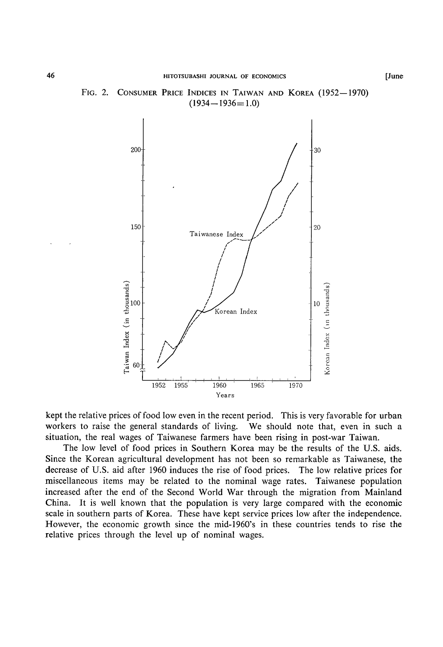

#### FIG. 2. CONSUMER PRICE INDICES IN TAIWAN AND KOREA (1952-1970)  $(1934 - 1936 = 1.0)$

kept the relative prices of food low even in the recent period. This is very favorable for urban workers to raise the general standards of living. We should note that, even in such a situation, the real wages of Taiwanese farmers have been rising in post-war Taiwan.

The low level of food prices in Southern Korea may be the results of the U.S. aids. Since the Korean agricultural development has not been so remarkable as Taiwanese, the decrease of U.S, aid after 1960 induces the rise of food prices. The low relative prices for miscellaneous items may be related to the nominal wage rates. Taiwanese population increased after the end of the Second World War through the migration from Mainland China. It is well known that the population is very large compared with the economic scale in southern parts of Korea. These have kept service prices low after the independence. However, the economic growth since the mid-1960's in these countries tends to rise the relative prices through the level up of nominal wages.

[ June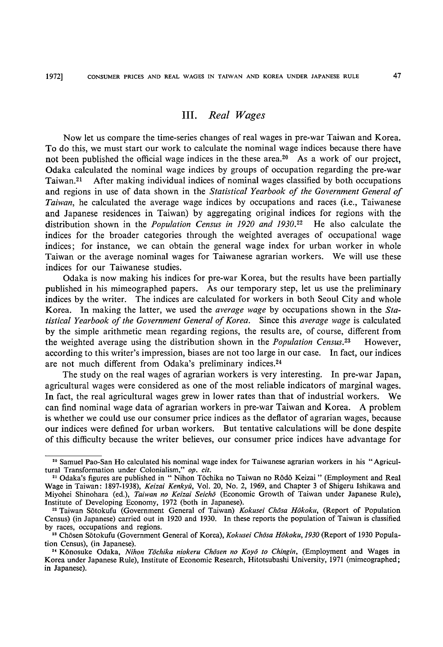#### III. Real Wages

Now let us compare the time-series changes of real wages in pre-war Taiwan and Korea. To do this, we must start our work to calculate the nominal wage indices because there have not been published the official wage indices in the these area.<sup>20</sup> As a work of our project, Odaka calculated the nominal wage indices by groups of occupation regarding the pre-war Taiwan.21 After making individual indices of nominal wages classified by both occupations and regions in use of data shown in the Statistical Yearbook of the Government General of Taiwan, he calculated the average wage indices by occupations and races (i.e., Taiwanese and Japanese residences in Taiwan) by aggregating original indices for regions with the distribution shown in the *Population Census in 1920 and 1930*.<sup>22</sup> He also calculate the indices for the broader categories through the weighted averages of occupational wage indices; for instance, we can obtain the general wage index for urban worker in whole Taiwan or the average nominal wages for Taiwanese agrarian workers. We will use these indices for our Taiwanese studies.

Odaka is now making his indices for pre-war Korea, but the results have been partially published in his mimeographed papers. As our temporary step, Iet us use the preliminary indices by the writer. The indices are calculated for workers in both Seoul City and whole Korea. In making the latter, we used the *average wage* by occupations shown in the Statistical Yearbook of the Government General of Korea. Since this average wage is calculated by the simple arithmetic mean regarding regions, the results are, of course, different from the weighted average using the distribution shown in the *Population Census*.<sup>23</sup> However, according to this writer's impression, biases are not too large in our case. In fact, our indices are not much different from Odaka's preliminary indices.<sup>24</sup>

The study on the real wages of agrarian workers is very interesting. In pre-war Japan, agricultural wages were considered as one of the most reliable indicators of marginal wages. In fact, the real agricultural wages grew in lower rates than that of industrial workers. We can find nominal wage data of agrarian workers in pre-war Taiwan and Korea. A problem is whether we could use our consumer price indices as the deflator of agrarian wages, because our indices were defined for urban workers. But tentative calculations will be done despite of this difficulty because the writer believes, our consumer price indices have advantage for

<sup>&</sup>quot; Sarnuel Pao-San Ho calculated his nominal wage index for Taiwanese agrarian workers in his "Agricultural Transformation under Colonialism," op. cit.

<sup>&</sup>lt;sup>21</sup> Odaka's figures are published in " Nihon Tõchika no Taiwan no Rōdō Keizai " (Employment and Real Wage in Taiwan: 1897-1938), Keizai Kenkyū, Vol. 20, No. 2, 1969, and Chapter 3 of Shigeru Ishikawa and Miyohei Shinohara (ed.), *Taiwan no Keizai Seichō* (Economic Growth of Taiwan under Japanese Rule). Institute of Developing Economy, 1972 (both in Japanese).

<sup>&</sup>lt;sup>22</sup> Taiwan Sōtokufu (Government General of Taiwan) Kokusei Chosa Hokoku, (Report of Population Census) (in Japanese) carried out in 1920 and 1930. In these reports the population of Taiwan is classified by races, occupations and regions.

<sup>&</sup>lt;sup>23</sup> Chōsen Sōtokufu (Government General of Korea), Kokusei Chōsa Hōkoku, 1930 (Report of 1930 Population Census), (in Japanese).

<sup>&</sup>lt;sup>24</sup> Kōnosuke Odaka, Nihon Tōchika niokeru Chōsen no Koyō to Chingin, (Employment and Wages in Korea under Japanese Rule), Institute of Economic Research, Hitotsubashi University, 1971 (mimeographed ; in Japanese).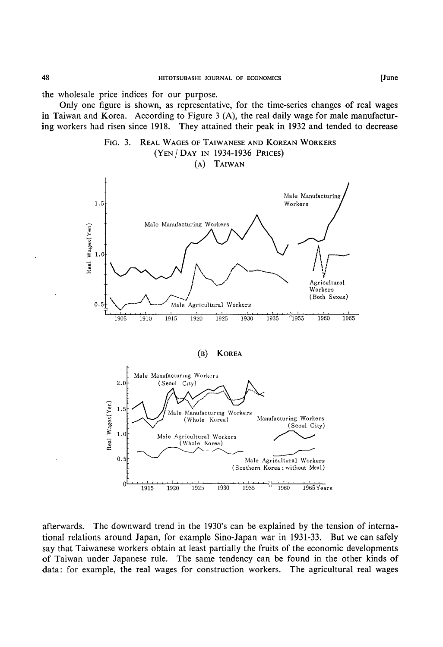the wholesale price indices for our purpose.

Only one figure is shown, as representative, for the time-series changes of real wages in Taiwan and Korea. According to Figure  $3(A)$ , the real daily wage for male manufacturing workers had risen since 1918. They attained their peak in 1932 and tended to decrease



afterwards. The downward trend in the 1930's can be explained by the tension of international relations around Japan, for example Sino-Japan war in 1931-33. But we can safely say that Taiwanese workers obtain at least partially the fruits of the economic developments of Taiwan under Japanese rule. The same tendency can be found in the other kinds of data: for example, the real wages for construction workers. The agricultural real wages

48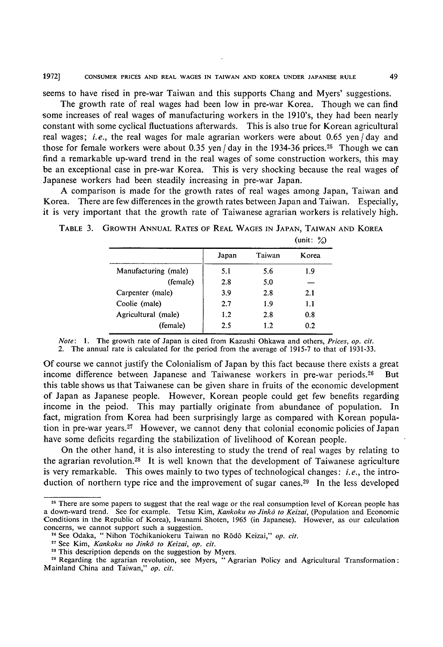seems to have rised in pre-war Taiwan and this supports Chang and Myers' suggestions.

The growth rate of real wages had been low in pre-war Korea. Though we can find some increases of real wages of manufacturing workers in the 1910's, they had been nearly constant with some cyclical fluctuations afterwards. This is also true for Korean agricultural real wages; *i.e.*, the real wages for male agrarian workers were about  $0.65$  yen/day and those for female workers were about 0.35 yen  $/$  day in the 1934-36 prices.<sup>25</sup> Though we can find a remarkable up-ward trend in the real wages of some construction workers, this may be an exceptional case in pre-war Korea. This is very shocking because the real wages of Japanese workers had been steadily increasing in pre-war Japan.

A comparison is made for the growth rates of real wages among Japan, Taiwan and Korea. There are few differences in the growth rates between Japan and Taiwan. Especially, it is very important that the growth rate of Taiwanese agrarian workers is relatively high.

|                      | Japan | Taiwan | Korea |
|----------------------|-------|--------|-------|
| Manufacturing (male) | 5.1   | 5.6    | 1.9   |
| (female)             | 2.8   | 5.0    |       |
| Carpenter (male)     | 3.9   | 2.8    | 2.1   |
| Coolie (male)        | 2.7   | 1.9    | 1.1   |
| Agricultural (male)  | 1.2   | 2.8    | 0.8   |
| (female)             | 2.5   | 1.2    | 0.2   |
|                      |       |        |       |

TABLE 3. GROWTH ANNUAL RATES OF REAL WAGES IN JAPAN, TAIWAN AND KOREA (unit:  $\%$ )

Note: 1. The growth rate of Japan is cited from Kazushi Ohkawa and others. Prices, op. cit. 2. The annuai rate is calculated for the period from the average of 1915-7 to that of 1931-33.

Of course we cannot justify the Colonialism of Japan by this fact because there exists a great income difference between Japanese and Taiwanese workers in pre-war periods. $26$  But this table shows us that Taiwanese can be given share in fruits of the economic development of Japan as Japanese people. However, Korean people could get few benefits regarding income in the peiod. This may partially originate from abundance of population. In fact, migration from Korea had been surprisingly large as compared with Korean population in pre-war years. $27$  However, we cannot deny that colonial economic policies of Japan have some deficits regarding the stabilization of livelihood of Korean people.

On the other hand, it is also interesting to study the trend of real wages by relating to the agrarian revolution.28 It is well known that the development of Taiwanese agriculture is very remarkable. This owes mainly to two types of technological changes: *i.e.*, the introduction of northern type rice and the improvement of sugar canes.29 In the less developed

<sup>&</sup>lt;sup>26</sup> There are some papers to suggest that the real wage or the real consumption level of Korean people has a down-ward trend. See for example. Tetsu Kim, Kankoku no Jinkō to Keizai, (Population and Economic Conditions in the Republic of Korea), Iwanami Shoten, 1965 (in Japanese). However, as our calculation concerns, we cannot support such a suggestion.

<sup>&</sup>lt;sup>26</sup> See Odaka, " Nihon Tōchikaniokeru Taiwan no Rōdō Keizai," op. cit.

<sup>&</sup>lt;sup>27</sup> See Kim, Kankoku no Jinkō to Keizai, op. cit.

<sup>&</sup>lt;sup>28</sup> This description depends on the suggestion by Myers.

<sup>&</sup>lt;sup>29</sup> Regarding the agrarian revolution, see Myers, " Agrarian Policy and Agricultural Transformation : Mainland China and Taiwan," op. cit.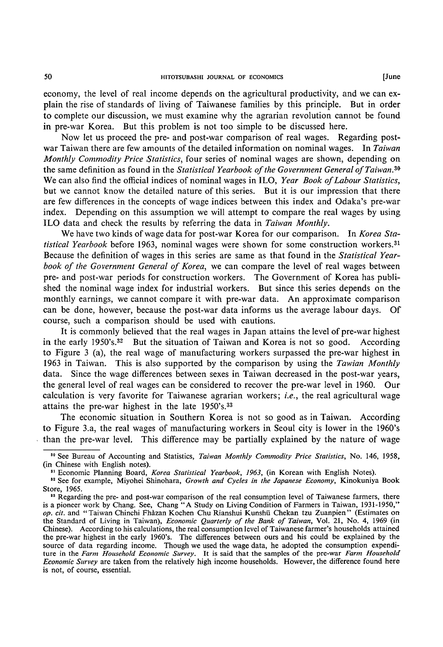economy, the level of real income depends on the agricultural productivity, and we can explain the rise of standards of living of Taiwanese families by this principle. But in order to complete our discussion, we must examine why the agrarian revolution cannot be found in pre-war Korea. But this problem is not too simple to be discussed here.

Now let us proceed the pre- and post-war comparison of real wages. Regarding postwar Taiwan there are few amounts of the detailed information on nominal wages. In Taiwan Monthly Commodity Price Statistics, four series of nominal wages are shown, depending on the same definition as found in the Statistical Yearbook of the Government General of Taiwan.<sup>30</sup> We can also find the official indices of nominal wages in ILO, Year Book of Labour Statistics, but we cannot know the detailed nature of this series. But it is our impression that there are few differences in the concepts of wage indices between this index and Odaka's pre-war index. Depending on this assumption we will attempt to compare the real wages by using ILO data and check the results by referring the data in Taiwan Monthly.

We have two kinds of wage data for post-war Korea for our comparison. In Korea Statistical Yearbook before 1963, nominal wages were shown for some construction workers.<sup>31</sup> Because the definition of wages in this series are same as that found in the Statistical Yearbook of the Government General of Korea, we can compare the level of real wages between pre- and post-war periods for construction workers. The Government of Korea has published the nominal wage index for industrial workers. But since this series depends on the monthly earnings, we cannot compare it with pre-war data. An approximate comparison can be done, however, because the post-war data informs us the average labour days. Of course, such a comparison should be used with cautions.

It is commonly believed that the real wages in Japan attains the level of pre-war highest in the early 1950's.32 But the situation of Taiwan and Korea is not so good. According to Figure 3 (a), the real wage of manufacturing workers surpassed the pre-war highest in 1963 in Taiwan. This is also supported by the comparison by using the Tawian Monthly data. Since the wage differences between sexes in Taiwan decreased in the post-war years, the general level of real wages can be considered to recover the pre-war level in 1960. Our calculation is very favorite for Taiwanese agrarian workers; *i.e.*, the real agricultural wage attains the pre-war highest in the late 1950's.33

The economic situation in Southern Korea is not so good as in Taiwan. According to Figure 3.a, the real wages of manufacturing workers in Seoul city is lower in the 1960's than the pre-war level. This difference may be partially explained by the nature of wage

<sup>&</sup>lt;sup>30</sup> See Bureau of Accounting and Statistics, Taiwan Monthly Commodity Price Statistics, No. 146, 1958, (in Chinese with English notes).

<sup>&</sup>lt;sup>81</sup> Economic Planning Board, Korea Statistical Yearbook, 1963, (in Korean with English Notes).

<sup>&</sup>lt;sup>32</sup> See for example, Miyohei Shinohara, Growth and Cycles in the Japanese Economy, Kinokuniya Book Store, 1965.

<sup>&</sup>lt;sup>13</sup> Regarding the pre- and post-war comparison of the real consumption level of Taiwanese farmers, there is a pioneer work by Chang. See. Chang "A Study on Living Condition of Farmers in Taiwan, 1 931-1950," op. cit. and " Taiwan Chinchi Fhazan Kochen Chu Rianshui Kunshu chekan tzu Zuanpien " (Estimates on the Standard of Living in Taiwan), Economic Quarterly of the Bank of Taiwan, Vol. 21, No. 4, 1969 (in Chinese). According to his calculations, the real consumption level of Taiwanese farmer's households attained the pre-war highest in the early 1960's. The differences between ours and his could be explained by the source of data regarding income. Though we used the wage data, he adopted the consumption expenditure in the Farm Household Economic Survey. It is said that the samples of the pre-war Farm Household Economic Survey are taken from the relatively high income households. However, the difference found here is not, of course, essential.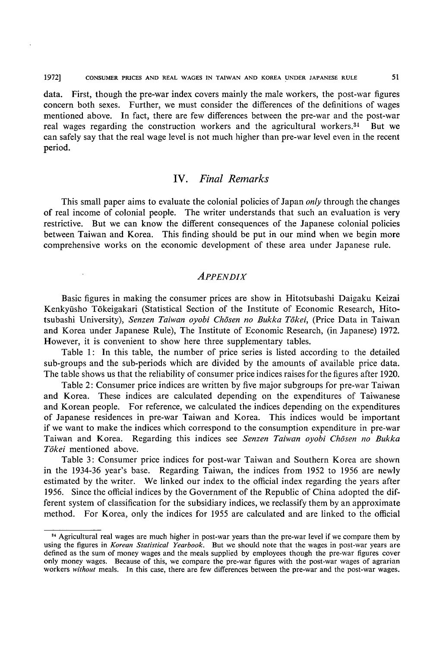19721 CONSUMER PRICES AND REAL WAGES IN TAIWAN AND KOREA UNDER JAPANESE RULE

data. First, though the pre-war index covers mainly the male workers, the post-war figures concern both sexes. Further, we must consider the differences of the definitions of wages mentioned above. In fact, there are few differences between the pre-war and the post-war real wages regarding the construction workers and the agricultural workers.34 But we can safely say that the real wage level is not much higher than pre-war level even in the recent period.

### IV. Final Remarks

This small paper aims to evaluate the colonial policies of Japan *only* through the changes of real income of colonial people. The writer understands that such an evaluation is very restrictive. But we can know the different consequences of the Japanese colonial policies between Taiwan and Korea. This finding should be put in our mind when we begin more comprehensive works on the economic development of these area under Japanese rule.

#### **APPENDIX**

Basic figures in making the consumer prices are show in Hitotsubashi Daigaku Keizai Kenkynsho Tokeigakari (Statistical Section of the Institute of Economic Research, Hitotsubashi University), Senzen Taiwan oyobi Chōsen no Bukka Tōkei, (Price Data in Taiwan and Korea under Japanese Rule), The Institute of Economic Research, (in Japanese) 1972. However, it is convenient to show here three supplementary tables.

Table 1: In this table, the number of price series is listed according to the detailed sub-groups and the sub-periods which are divided by the amounts of available price data. The table shows us that the reliability of consumer price indices raises for the figures after 1920.

Table 2: Consumer price indices are written by five major subgroups for pre-war Taiwan and Korea. These indices are calculated depending on the expenditures of Taiwanese and Korean people. For reference, we calculated the indices depending on the expenditures of Japanese residences in pre-war Taiwan and Korea. This indices would be important if we want to make the indices which correspond to the consumption expenditure in pre-war Taiwan and Korea. Regarding this indices see Senzen Taiwan oyobi Chosen no Bukka Tōkei mentioned above.

Table 3: Consumer price indices for post-war Taiwan and Southern Korea are shown in the 1934-36 year's base. Regarding Taiwan, the indices from 1952 to 1956 are newly estimated by the writer. We linked our index to the official index regarding the years after 1956. Since the official indices by the Government of the Republic of China adopted the different system of classification for the subsidiary indices, we reclassify them by an approximate method. For Korea, only the indices for 1955 are calculated and are linked to the official

<sup>&</sup>lt;sup>34</sup> Agricultural real wages are much higher in post-war years than the pre-war level if we compare them by using the figures in Korean Statistical Yearbook. But we should note that the wages in post-war years are defined as the sum of money wages and the meals supplied by employees though the pre-war figures cover only money wages. Because of this, we compare the pre-war figures with the post-war wages of agrarian workers without meals. In this case, there are few differences between the pre-war and the post-war wages.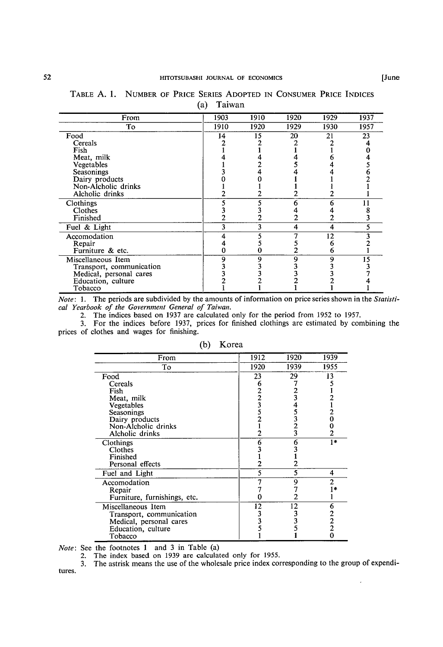| From                     | 1903 | 1910 | 1920 | 1929 | 1937 |
|--------------------------|------|------|------|------|------|
| Тo                       | 1910 | 1920 | 1929 | 1930 | 1957 |
| Food                     | 14   | 15   | 20   | 21   | 23   |
| Cereals                  |      |      |      |      |      |
| Fish                     |      |      |      |      |      |
| Meat, milk               |      |      |      |      |      |
| Vegetables               |      |      |      |      |      |
| Seasonings               |      |      |      |      |      |
| Dairy products           |      |      |      |      |      |
| Non-Alcholic drinks      |      |      |      |      |      |
| Alcholic drinks          |      |      |      |      |      |
| Clothings                |      |      |      | h    |      |
| Clothes                  |      |      |      |      |      |
| Finished                 |      |      |      |      |      |
| Fuel & Light             | 3    | 3    | 4    | 4    |      |
| Accomodation             |      |      |      | 12   |      |
| Repair                   |      |      |      |      |      |
| Furniture & etc.         |      |      |      |      |      |
| Miscellaneous Item       |      | 9    | 9    | 9    | 15   |
| Transport, communication |      |      |      |      |      |
| Medical, personal cares  |      |      |      |      |      |
| Education, culture       |      |      |      |      |      |
| Tobacco                  |      |      |      |      |      |

#### TABLE A. 1. NUMBER OF PRICE SERIES ADOPTED IN CONSUMER PRICE INDICES (a) Taiwan

Note: 1. The periods are subdivided by the amounts of information on price series shown in the Statistical Yearbook of the Government General of Taiwan.

2. The indices based on 1937 are calculated only for the period from 1952 to 1957.

3. For the indices before 1937, prices for finished clothings are estimated by combining the prices of clothes and wages for finishing.

| From                         | 1912          | 1920        | 1939           |
|------------------------------|---------------|-------------|----------------|
| To                           | 1920          | 1939        | 1955           |
| Food                         | 23            | 29          | 13             |
| Cereals                      | 6             |             |                |
| Fish                         |               |             |                |
| Meat, milk                   | $\frac{2}{3}$ |             | 2              |
| Vegetables                   |               |             |                |
| Seasonings                   |               |             | 2              |
| Dairy products               |               | 3<br>2<br>3 | Ó              |
| Non-Alcholic drinks          |               |             |                |
| Alcholic drinks              |               |             | $\overline{c}$ |
| Clothings                    | 6             | 6           | 1*             |
| Clothes                      |               |             |                |
| Finished                     |               |             |                |
| Personal effects             | 2             |             |                |
| Fuel and Light               | 5             | 5           | 4              |
| Accomodation                 |               | 9           | 2              |
| Repair                       |               |             |                |
| Furniture, furnishings, etc. |               |             |                |
| Miscellaneous Item           | 12            | 12          | 6              |
| Transport, communication     |               |             |                |
| Medical, personal cares      | 3             |             | $\frac{2}{2}$  |
| Education, culture           |               |             |                |
| Tobacco                      |               |             | 0              |

| (b) | Korea |
|-----|-------|
|     |       |

 $Note: See the footnotes 1 and 3 in Table (a)$ 

2. The index based on 1939 are calculated only for 1955. 3. The astrisk means the use of the wholesale price index corresponding to the group of expenditures.

J.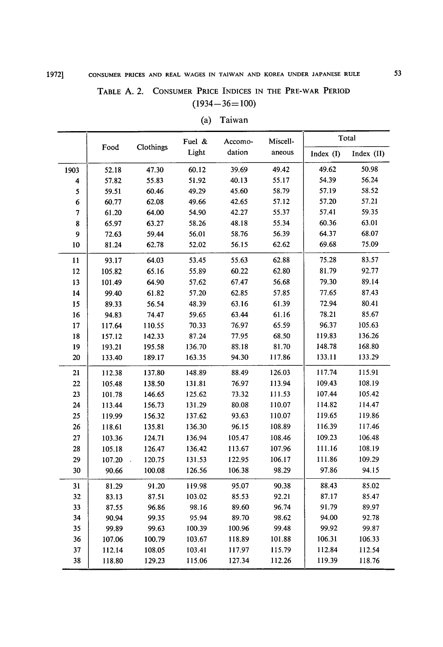## TABLE A. 2. CONSUMER PRICE INDICES IN THE PRE-WAR PERIOD  $(1934-36=100)$

|                         |        |           | Fuel & | Miscell-<br>Accomo- |        |             | Total      |  |
|-------------------------|--------|-----------|--------|---------------------|--------|-------------|------------|--|
|                         | Food   | Clothings | Light  | dation              | aneous | Index $(I)$ | Index (II) |  |
| 1903                    | 52.18  | 47.30     | 60.12  | 39.69               | 49.42  | 49.62       | 50.98      |  |
| $\overline{\mathbf{4}}$ | 57.82  | 55.83     | 51.92  | 40.13               | 55.17  | 54.39       | 56.24      |  |
| 5                       | 59.51  | 60.46     | 49.29  | 45.60               | 58.79  | 57.19       | 58.52      |  |
| 6                       | 60.77  | 62.08     | 49.66  | 42.65               | 57.12  | 57.20       | 57.21      |  |
| 7                       | 61.20  | 64.00     | 54.90  | 42.27               | 55.37  | 57.41       | 59.35      |  |
| 8                       | 65.97  | 63.27     | 58.26  | 48.18               | 55.34  | 60.36       | 63.01      |  |
| 9                       | 72.63  | 59.44     | 56.01  | 58.76               | 56.39  | 64.37       | 68.07      |  |
| 10                      | 81.24  | 62.78     | 52.02  | 56.15               | 62.62  | 69.68       | 75.09      |  |
| 11                      | 93.17  | 64.03     | 53.45  | 55.63               | 62.88  | 75.28       | 83.57      |  |
| 12                      | 105.82 | 65.16     | 55.89  | 60.22               | 62.80  | 81.79       | 92.77      |  |
| 13                      | 101.49 | 64.90     | 57.62  | 67.47               | 56.68  | 79.30       | 89.14      |  |
| 14                      | 99.40  | 61.82     | 57.20  | 62.85               | 57.85  | 77.65       | 87.43      |  |
| 15                      | 89.33  | 56.54     | 48.39  | 63.16               | 61.39  | 72.94       | 80.41      |  |
| 16                      | 94.83  | 74.47     | 59.65  | 63.44               | 61.16  | 78.21       | 85.67      |  |
| $17\,$                  | 117.64 | 110.55    | 70.33  | 76.97               | 65.59  | 96.37       | 105.63     |  |
| 18                      | 157.12 | 142.33    | 87.24  | 77.95               | 68.50  | 119.83      | 136.26     |  |
| 19                      | 193.21 | 195.58    | 136.70 | 88.18               | 81.70  | 148.78      | 168.80     |  |
| 20                      | 133.40 | 189.17    | 163.35 | 94.30               | 117.86 | 133.11      | 133.29     |  |
| 21                      | 112.38 | 137.80    | 148.89 | 88.49               | 126.03 | 117.74      | 115.91     |  |
| 22                      | 105.48 | 138.50    | 131.81 | 76.97               | 113.94 | 109.43      | 108.19     |  |
| 23                      | 101.78 | 146.65    | 125.62 | 73.32               | 111.53 | 107.44      | 105.42     |  |
| 24                      | 113.44 | 156.73    | 131.29 | 80.08               | 110.07 | 114.82      | 114.47     |  |
| 25                      | 119.99 | 156.32    | 137.62 | 93.63               | 110.07 | 119.65      | 119.86     |  |
| 26                      | 118.61 | 135.81    | 136.30 | 96.15               | 108.89 | 116.39      | 117.46     |  |
| 27                      | 103.36 | 124.71    | 136.94 | 105.47              | 108.46 | 109.23      | 106.48     |  |
| 28                      | 105.18 | 126.47    | 136.42 | 113.67              | 107.96 | 111.16      | 108.19     |  |
| 29                      | 107.20 | 120.75    | 131.53 | 122.95              | 106.17 | 111.86      | 109.29     |  |
| 30                      | 90.66  | 100.08    | 126.56 | 106.38              | 98.29  | 97.86       | 94.15      |  |
| 31                      | 81.29  | 91.20     | 119.98 | 95.07               | 90.38  | 88.43       | 85.02      |  |
| 32                      | 83.13  | 87.51     | 103.02 | 85.53               | 92.21  | 87.17       | 85.47      |  |
| 33                      | 87.55  | 96.86     | 98.16  | 89.60               | 96.74  | 91.79       | 89.97      |  |
| 34                      | 90.94  | 99.35     | 95.94  | 89.70               | 98.62  | 94.00       | 92.78      |  |
| 35                      | 99.89  | 99.63     | 100.39 | 100.96              | 99.48  | 99.92       | 99.87      |  |
|                         | 107.06 | 100.79    | 103.67 | 118.89              | 101.88 | 106.31      | 106.33     |  |
| 36                      | 112.14 | 108.05    | 103.41 | 117.97              | 115.79 | 112.84      | 112.54     |  |
| 37                      |        |           | 115.06 | 127.34              | 112.26 | 119.39      | 118.76     |  |

| a)           | Taiwan<br>_______ |  |
|--------------|-------------------|--|
| -----<br>--- |                   |  |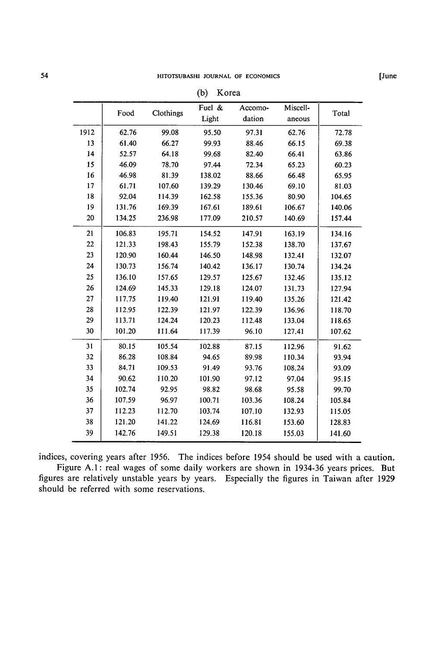|      |        |           | <b>、</b> |         |          |        |
|------|--------|-----------|----------|---------|----------|--------|
|      | Food   | Clothings | Fuel $&$ | Accomo- | Miscell- | Total  |
|      |        |           | Light    | dation  | aneous   |        |
| 1912 | 62.76  | 99.08     | 95.50    | 97.31   | 62.76    | 72.78  |
| 13   | 61.40  | 66.27     | 99.93    | 88.46   | 66.15    | 69.38  |
| 14   | 52.57  | 64.18     | 99.68    | 82.40   | 66.41    | 63.86  |
| 15   | 46.09  | 78.70     | 97.44    | 72.34   | 65.23    | 60.23  |
| 16   | 46.98  | 81.39     | 138.02   | 88.66   | 66.48    | 65.95  |
| 17   | 61.71  | 107.60    | 139.29   | 130.46  | 69.10    | 81.03  |
| 18   | 92.04  | 114.39    | 162.58   | 155.36  | 80.90    | 104.65 |
| 19   | 131.76 | 169.39    | 167.61   | 189.61  | 106.67   | 140.06 |
| 20   | 134.25 | 236.98    | 177.09   | 210.57  | 140.69   | 157.44 |
| 21   | 106.83 | 195.71    | 154.52   | 147.91  | 163.19   | 134.16 |
| 22   | 121.33 | 198.43    | 155.79   | 152.38  | 138.70   | 137.67 |
| 23   | 120.90 | 160.44    | 146.50   | 148.98  | 132.41   | 132.07 |
| 24   | 130.73 | 156.74    | 140.42   | 136.17  | 130.74   | 134.24 |
| 25   | 136.10 | 157.65    | 129.57   | 125.67  | 132.46   | 135.12 |
| 26   | 124.69 | 145.33    | 129.18   | 124.07  | 131.73   | 127.94 |
| 27   | 117.75 | 119.40    | 121.91   | 119.40  | 135.26   | 121.42 |
| 28   | 112.95 | 122.39    | 121.97   | 122.39  | 136.96   | 118.70 |
| 29   | 113.71 | 124.24    | 120.23   | 112.48  | 133.04   | 118.65 |
| 30   | 101.20 | 111.64    | 117.39   | 96.10   | 127.41   | 107.62 |
| 31   | 80.15  | 105.54    | 102.88   | 87.15   | 112.96   | 91.62  |
| 32   | 86.28  | 108.84    | 94.65    | 89.98   | 110.34   | 93.94  |
| 33   | 84.71  | 109.53    | 91.49    | 93.76   | 108.24   | 93.09  |
| 34   | 90.62  | 110.20    | 101.90   | 97.12   | 97.04    | 95.15  |
| 35   | 102.74 | 92.95     | 98.82    | 98.68   | 95.58    | 99.70  |
| 36   | 107.59 | 96.97     | 100.71   | 103.36  | 108.24   | 105.84 |
| 37   | 112.23 | 112.70    | 103.74   | 107.10  | 132.93   | 115.05 |
| 38   | 121.20 | 141.22    | 124.69   | 116.81  | 153.60   | 128.83 |
| 39   | 142.76 | 149.51    | 129.38   | 120.18  | 155.03   | 141.60 |
|      |        |           |          |         |          |        |

| (b) | Korea |
|-----|-------|
|     |       |

indices, covering years after 1956. The indices before 1954 should be used with a caution. Figure A.1: real wages of some daily workers are shown in 1934-36 years prices. But figures are relatively unstable years by years. Especially the figures in Taiwan after 1929

should be referred with some reservations.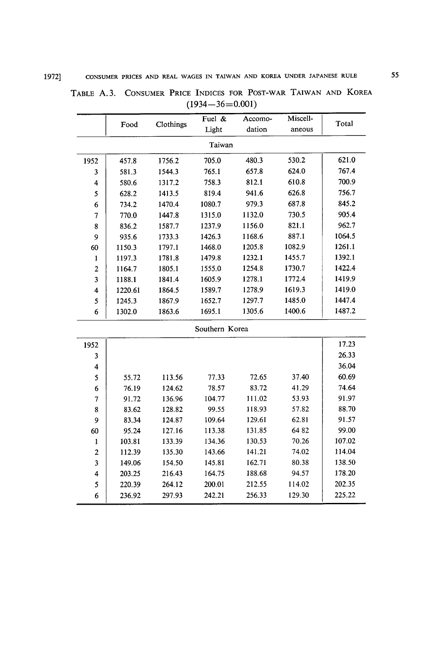|                | Food    | Clothings | Fuel & | Accomo- | Miscell- | Total  |  |  |  |  |
|----------------|---------|-----------|--------|---------|----------|--------|--|--|--|--|
|                |         |           | Light  | dation  | aneous   |        |  |  |  |  |
|                | Taiwan  |           |        |         |          |        |  |  |  |  |
| 1952           | 457.8   | 1756.2    | 705.0  | 480.3   | 530.2    | 621.0  |  |  |  |  |
| 3              | 581.3   | 1544.3    | 765.1  | 657.8   | 624.0    | 767.4  |  |  |  |  |
| 4              | 580.6   | 1317.2    | 758.3  | 812.1   | 610.8    | 700.9  |  |  |  |  |
| 5              | 628.2   | 1413.5    | 819.4  | 941.6   | 626.8    | 756.7  |  |  |  |  |
| 6              | 734.2   | 1470.4    | 1080.7 | 979.3   | 687.8    | 845.2  |  |  |  |  |
| 7              | 770.0   | 1447.8    | 1315.0 | 1132.0  | 730.5    | 905.4  |  |  |  |  |
| 8              | 836.2   | 1587.7    | 1237.9 | 1156.0  | 821.1    | 962.7  |  |  |  |  |
| 9              | 935.6   | 1733.3    | 1426.3 | 1168.6  | 887.1    | 1064.5 |  |  |  |  |
| 60             | 1150.3  | 1797.1    | 1468.0 | 1205.8  | 1082.9   | 1261.1 |  |  |  |  |
| 1              | 1197.3  | 1781.8    | 1479.8 | 1232.1  | 1455.7   | 1392.1 |  |  |  |  |
| $\overline{2}$ | 1164.7  | 1805.1    | 1555.0 | 1254.8  | 1730.7   | 1422.4 |  |  |  |  |
| 3              | 1188.1  | 1841.4    | 1605.9 | 1278.1  | 1772.4   | 1419.9 |  |  |  |  |
| 4              | 1220.61 | 1864.5    | 1589.7 | 1278.9  | 1619.3   | 1419.0 |  |  |  |  |
| 5              | 1245.3  | 1867.9    | 1652.7 | 1297.7  | 1485.0   | 1447.4 |  |  |  |  |
| 6              | 1302.0  | 1863.6    | 1695.1 | 1305.6  | 1400.6   | 1487.2 |  |  |  |  |
|                |         |           |        |         |          |        |  |  |  |  |

| TABLE A.3. CONSUMER PRICE INDICES FOR POST-WAR TAIWAN AND KOREA |  |                       |  |  |  |
|-----------------------------------------------------------------|--|-----------------------|--|--|--|
|                                                                 |  | $(1934 - 36 = 0.001)$ |  |  |  |

Southern Korea

| 1952           |        |        |        |        |        | 17.23  |
|----------------|--------|--------|--------|--------|--------|--------|
| 3              |        |        |        |        |        | 26.33  |
| 4              |        |        |        |        |        | 36.04  |
| 5              | 55.72  | 113.56 | 77.33  | 72.65  | 37.40  | 60.69  |
| 6              | 76.19  | 124.62 | 78.57  | 83.72  | 41.29  | 74.64  |
| $\overline{7}$ | 91.72  | 136.96 | 104.77 | 111.02 | 53.93  | 91.97  |
| 8              | 83.62  | 128.82 | 99.55  | 118.93 | 57.82  | 88.70  |
| 9              | 83.34  | 124.87 | 109.64 | 129.61 | 62.81  | 91.57  |
| 60             | 95.24  | 127.16 | 113.38 | 131.85 | 6482   | 99.00  |
| 1              | 103.81 | 133.39 | 134.36 | 130.53 | 70.26  | 107.02 |
| $\overline{c}$ | 112.39 | 135.30 | 143.66 | 141.21 | 74.02  | 114.04 |
| 3              | 149.06 | 154.50 | 145.81 | 162.71 | 80.38  | 138.50 |
| 4              | 203.25 | 216.43 | 164.75 | 188.68 | 94.57  | 178.20 |
| 5              | 220.39 | 264.12 | 200.01 | 212.55 | 114.02 | 202.35 |
| 6              | 236.92 | 297.93 | 242.21 | 256.33 | 129.30 | 225.22 |